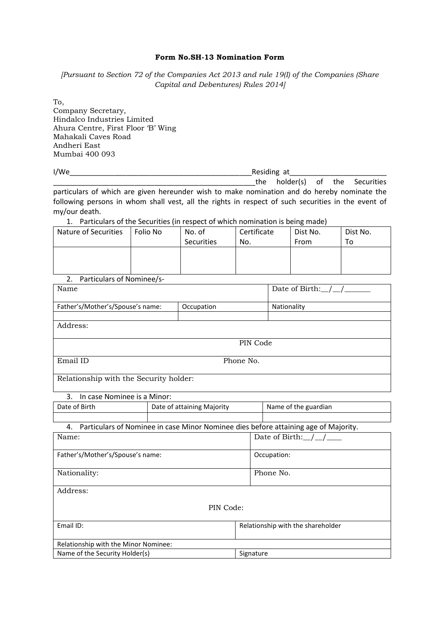## **Form No.SH-13 Nomination Form**

*[Pursuant to Section 72 of the Companies Act 2013 and rule 19(I) of the Companies (Share Capital and Debentures) Rules 2014]*

To, Company Secretary, Hindalco Industries Limited Ahura Centre, First Floor 'B' Wing Mahakali Caves Road Andheri East Mumbai 400 093

I/We\_\_\_\_\_\_\_\_\_\_\_\_\_\_\_\_\_\_\_\_\_\_\_\_\_\_\_\_\_\_\_\_\_\_\_\_\_\_\_\_\_\_\_\_\_Residing at\_\_\_\_\_\_\_\_\_\_\_\_\_\_\_\_\_\_\_\_\_\_\_\_ the holder(s) of the Securities particulars of which are given hereunder wish to make nomination and do hereby nominate the following persons in whom shall vest, all the rights in respect of such securities in the event of my/our death.

1. Particulars of the Securities (in respect of which nomination is being made)

| Nature of Securities | Folio No | No. of<br>Securities | Certificate<br>No. | Dist No.<br>From | Dist No.<br>To |
|----------------------|----------|----------------------|--------------------|------------------|----------------|
|                      |          |                      |                    |                  |                |

2. Particulars of Nominee/s-

| Name                                   |            |             |
|----------------------------------------|------------|-------------|
| Father's/Mother's/Spouse's name:       | Occupation | Nationality |
|                                        |            |             |
| Address:                               |            |             |
|                                        |            |             |
|                                        | PIN Code   |             |
|                                        |            |             |
| Email ID                               | Phone No.  |             |
|                                        |            |             |
| Relationship with the Security holder: |            |             |
|                                        |            |             |

|  |  | 3. In case Nominee is a Minor: |
|--|--|--------------------------------|
|--|--|--------------------------------|

| Date of Birth | Date of attaining Majority | Name of the guardian |
|---------------|----------------------------|----------------------|
|               |                            |                      |

| 4. Particulars of Nominee in case Minor Nominee dies before attaining age of Majority. |                                    |
|----------------------------------------------------------------------------------------|------------------------------------|
| Name:                                                                                  | Date of Birth: $\angle$ / $\angle$ |
|                                                                                        |                                    |
| Father's/Mother's/Spouse's name:                                                       | Occupation:                        |
|                                                                                        |                                    |
| Nationality:                                                                           | Phone No.                          |
|                                                                                        |                                    |
| Address:                                                                               |                                    |
|                                                                                        |                                    |
|                                                                                        | PIN Code:                          |
|                                                                                        |                                    |
| Email ID:                                                                              | Relationship with the shareholder  |
|                                                                                        |                                    |
| Relationship with the Minor Nominee:                                                   |                                    |
| Name of the Security Holder(s)                                                         | Signature                          |
|                                                                                        |                                    |